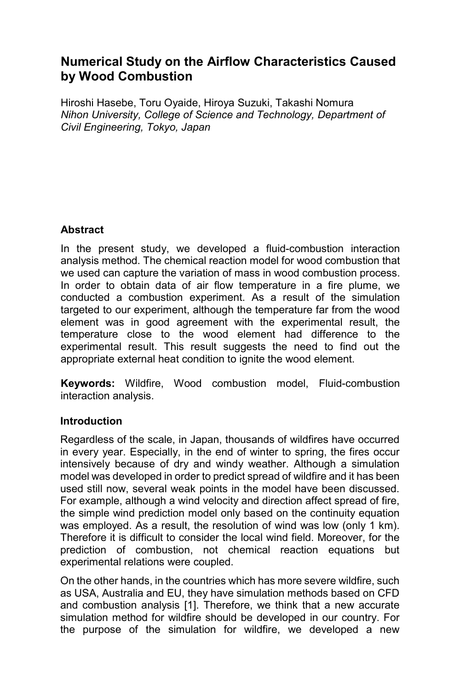# **Numerical Study on the Airflow Characteristics Caused by Wood Combustion**

Hiroshi Hasebe, Toru Oyaide, Hiroya Suzuki, Takashi Nomura *Nihon University, College of Science and Technology, Department of Civil Engineering, Tokyo, Japan* 

## **Abstract**

In the present study, we developed a fluid-combustion interaction analysis method. The chemical reaction model for wood combustion that we used can capture the variation of mass in wood combustion process. In order to obtain data of air flow temperature in a fire plume, we conducted a combustion experiment. As a result of the simulation targeted to our experiment, although the temperature far from the wood element was in good agreement with the experimental result, the temperature close to the wood element had difference to the experimental result. This result suggests the need to find out the appropriate external heat condition to ignite the wood element.

**Keywords:** Wildfire, Wood combustion model, Fluid-combustion interaction analysis.

## **Introduction**

Regardless of the scale, in Japan, thousands of wildfires have occurred in every year. Especially, in the end of winter to spring, the fires occur intensively because of dry and windy weather. Although a simulation model was developed in order to predict spread of wildfire and it has been used still now, several weak points in the model have been discussed. For example, although a wind velocity and direction affect spread of fire, the simple wind prediction model only based on the continuity equation was employed. As a result, the resolution of wind was low (only 1 km). Therefore it is difficult to consider the local wind field. Moreover, for the prediction of combustion, not chemical reaction equations but experimental relations were coupled.

On the other hands, in the countries which has more severe wildfire, such as USA, Australia and EU, they have simulation methods based on CFD and combustion analysis [1]. Therefore, we think that a new accurate simulation method for wildfire should be developed in our country. For the purpose of the simulation for wildfire, we developed a new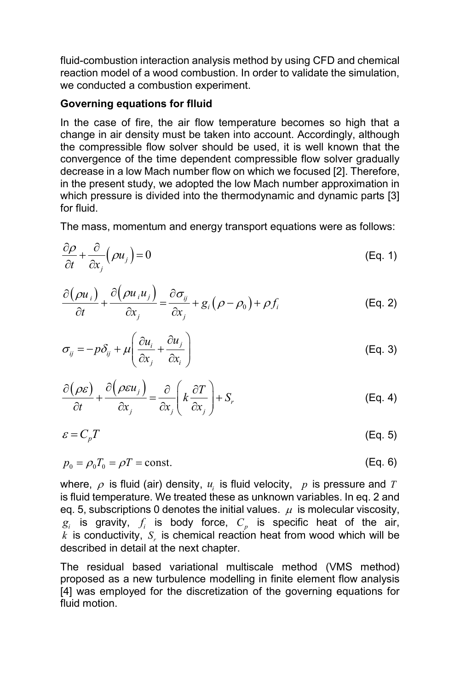fluid-combustion interaction analysis method by using CFD and chemical reaction model of a wood combustion. In order to validate the simulation, we conducted a combustion experiment.

#### **Governing equations for flluid**

In the case of fire, the air flow temperature becomes so high that a change in air density must be taken into account. Accordingly, although the compressible flow solver should be used, it is well known that the convergence of the time dependent compressible flow solver gradually decrease in a low Mach number flow on which we focused [2]. Therefore, in the present study, we adopted the low Mach number approximation in which pressure is divided into the thermodynamic and dynamic parts [3] for fluid.

The mass, momentum and energy transport equations were as follows:

$$
\frac{\partial \rho}{\partial t} + \frac{\partial}{\partial x_j} (\rho u_j) = 0
$$
 (Eq. 1)

$$
\frac{\partial(\rho u_i)}{\partial t} + \frac{\partial(\rho u_i u_j)}{\partial x_j} = \frac{\partial \sigma_{ij}}{\partial x_j} + g_i(\rho - \rho_0) + \rho f_i
$$
 (Eq. 2)

$$
\sigma_{ij} = -p\delta_{ij} + \mu \left( \frac{\partial u_i}{\partial x_j} + \frac{\partial u_j}{\partial x_i} \right)
$$
 (Eq. 3)

$$
\frac{\partial(\rho \varepsilon)}{\partial t} + \frac{\partial(\rho \varepsilon u_j)}{\partial x_j} = \frac{\partial}{\partial x_j} \left( k \frac{\partial T}{\partial x_j} \right) + S_r
$$
 (Eq. 4)

$$
\varepsilon = C_p T \tag{Eq. 5}
$$

$$
p_0 = \rho_0 T_0 = \rho T = \text{const.}\tag{Eq. 6}
$$

where,  $\rho$  is fluid (air) density,  $u_i$  is fluid velocity,  $p$  is pressure and *T* is fluid temperature. We treated these as unknown variables. In eq. 2 and eq. 5, subscriptions 0 denotes the initial values.  $\mu$  is molecular viscosity,  $g_i$  is gravity,  $f_i$  is body force,  $C_p$  is specific heat of the air,  $\vec{k}$  is conductivity,  $S_r$  is chemical reaction heat from wood which will be described in detail at the next chapter.

The residual based variational multiscale method (VMS method) proposed as a new turbulence modelling in finite element flow analysis [4] was employed for the discretization of the governing equations for fluid motion.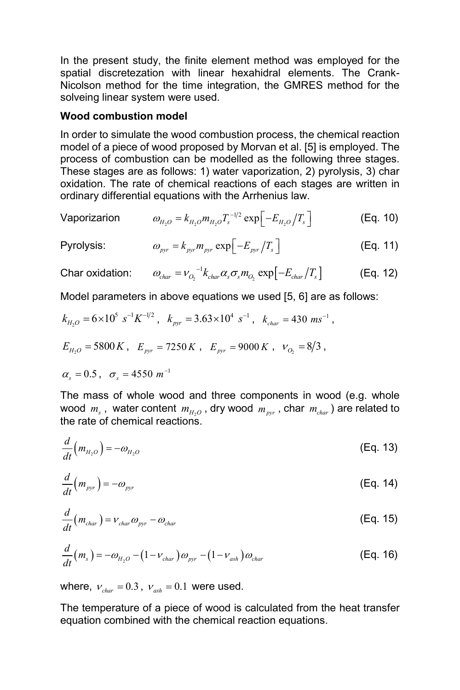In the present study, the finite element method was employed for the spatial discretezation with linear hexahidral elements. The Crank-Nicolson method for the time integration, the GMRES method for the solveing linear system were used.

#### **Wood combustion model**

In order to simulate the wood combustion process, the chemical reaction model of a piece of wood proposed by Morvan et al. [5] is employed. The process of combustion can be modelled as the following three stages. These stages are as follows: 1) water vaporization, 2) pyrolysis, 3) char oxidation. The rate of chemical reactions of each stages are written in ordinary differential equations with the Arrhenius law.

Vaporization 
$$
\omega_{H_2O} = k_{H_2O} m_{H_2O} T_s^{-1/2} \exp \left[-E_{H_2O}/T_s\right]
$$
 (Eq. 10)

$$
\text{Pyrolysis:} \qquad \qquad \omega_{\text{pyr}} = k_{\text{pyr}} m_{\text{pyr}} \exp\left[-E_{\text{pyr}}/T_s\right] \tag{Eq. 11}
$$

Char oxidation:  $\omega_{char} = v_{O_2}^{-1} k_{char} \alpha_s \sigma_s m_{O_2} \exp[-E_{char}/T_s]$  (Eq. 12)

Model parameters in above equations we used [5, 6] are as follows:

$$
k_{H_2O} = 6 \times 10^5 \text{ s}^{-1} K^{-1/2}
$$
,  $k_{pyr} = 3.63 \times 10^4 \text{ s}^{-1}$ ,  $k_{char} = 430 \text{ ms}^{-1}$ ,  
 $E_{H_2O} = 5800 \text{ K}$ ,  $E_{pyr} = 7250 \text{ K}$ ,  $E_{pyr} = 9000 \text{ K}$ ,  $v_{O_2} = 8/3$ ,

 $\alpha_s = 0.5$ ,  $\sigma_s = 4550$   $m^{-1}$ 

The mass of whole wood and three components in wood (e.g. whole wood  $m_s$ , water content  $m_{H_2O}$ , dry wood  $m_{pyr}$ , char  $m_{char}$ ) are related to the rate of chemical reactions.

$$
\frac{d}{dt}\left(m_{H_2O}\right) = -\omega_{H_2O} \tag{Eq. 13}
$$

$$
\frac{d}{dt}\left(m_{pyr}\right) = -\omega_{pyr} \tag{Eq. 14}
$$

$$
\frac{d}{dt}(m_{char}) = V_{char}\omega_{pyr} - \omega_{char}
$$
\n(Eq. 15)

$$
\frac{d}{dt}(m_s) = -\omega_{H_2O} - (1 - v_{char})\omega_{pyr} - (1 - v_{ash})\omega_{char}
$$
\n(Eq. 16)

where,  $v_{char} = 0.3$ ,  $v_{ash} = 0.1$  were used.

The temperature of a piece of wood is calculated from the heat transfer equation combined with the chemical reaction equations.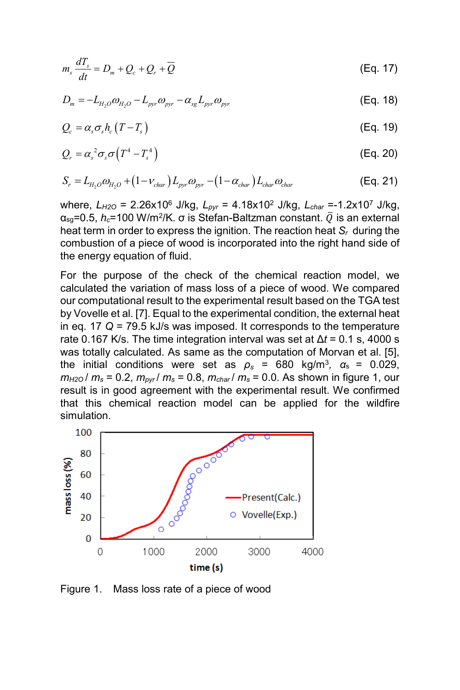$$
m_s \frac{dT_s}{dt} = D_m + Q_c + Q_r + \overline{Q}
$$
 (Eq. 17)

$$
D_m = -L_{H_2O}\omega_{H_2O} - L_{pyr}\omega_{pyr} - \alpha_{sg}L_{pyr}\omega_{pyr}
$$
 (Eq. 18)

$$
Q_c = \alpha_s \sigma_s h_c (T - T_s) \tag{Eq. 19}
$$

$$
Q_r = \alpha_s^2 \sigma_s \sigma \left( T^4 - T_s^4 \right) \tag{Eq. 20}
$$

$$
S_r = L_{H_2O}\omega_{H_2O} + (1 - v_{char})L_{pyr}\omega_{pyr} - (1 - \alpha_{char})L_{char}\omega_{char}
$$
(Eq. 21)

where, *LH2O* = 2.26x10<sup>6</sup> J/kg, *Lpyr* = 4.18x10<sup>2</sup> J/kg, *Lchar* =-1.2x10<sup>7</sup> J/kg,  $\alpha_{\text{sg}}$ =0.5,  $h_c$ =100 W/m<sup>2</sup>/K.  $\sigma$  is Stefan-Baltzman constant.  $\overline{Q}$  is an external heat term in order to express the ignition. The reaction heat *Sr* during the combustion of a piece of wood is incorporated into the right hand side of the energy equation of fluid.

For the purpose of the check of the chemical reaction model, we calculated the variation of mass loss of a piece of wood. We compared our computational result to the experimental result based on the TGA test by Vovelle et al. [7]. Equal to the experimental condition, the external heat in eq. 17 *Q* = 79.5 kJ/s was imposed. It corresponds to the temperature rate 0.167 K/s. The time integration interval was set at ∆*t* = 0.1 s, 4000 s was totally calculated. As same as the computation of Morvan et al. [5], the initial conditions were set as  $\rho_s = 680 \text{ kg/m}^3$ ,  $\alpha_s = 0.029$ , *m*<sub>H2O</sub> /  $m_s$  = 0.2,  $m_{pvr}$  /  $m_s$  = 0.8,  $m_{char}$  /  $m_s$  = 0.0. As shown in figure 1, our result is in good agreement with the experimental result. We confirmed that this chemical reaction model can be applied for the wildfire simulation.



Figure 1. Mass loss rate of a piece of wood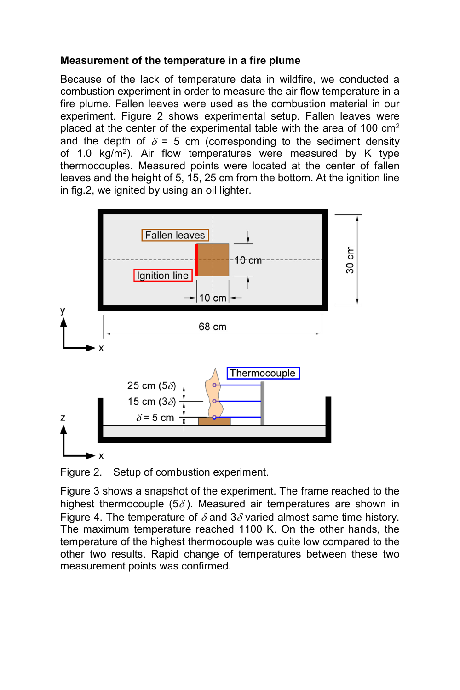## **Measurement of the temperature in a fire plume**

Because of the lack of temperature data in wildfire, we conducted a combustion experiment in order to measure the air flow temperature in a fire plume. Fallen leaves were used as the combustion material in our experiment. Figure 2 shows experimental setup. Fallen leaves were placed at the center of the experimental table with the area of 100 cm<sup>2</sup> and the depth of  $\delta = 5$  cm (corresponding to the sediment density of 1.0 kg/m<sup>2</sup> ). Air flow temperatures were measured by K type thermocouples. Measured points were located at the center of fallen leaves and the height of 5, 15, 25 cm from the bottom. At the ignition line in fig.2, we ignited by using an oil lighter.



Figure 2. Setup of combustion experiment.

Figure 3 shows a snapshot of the experiment. The frame reached to the highest thermocouple (5 $\delta$ ). Measured air temperatures are shown in Figure 4. The temperature of  $\delta$  and 3 $\delta$  varied almost same time history. The maximum temperature reached 1100 K. On the other hands, the temperature of the highest thermocouple was quite low compared to the other two results. Rapid change of temperatures between these two measurement points was confirmed.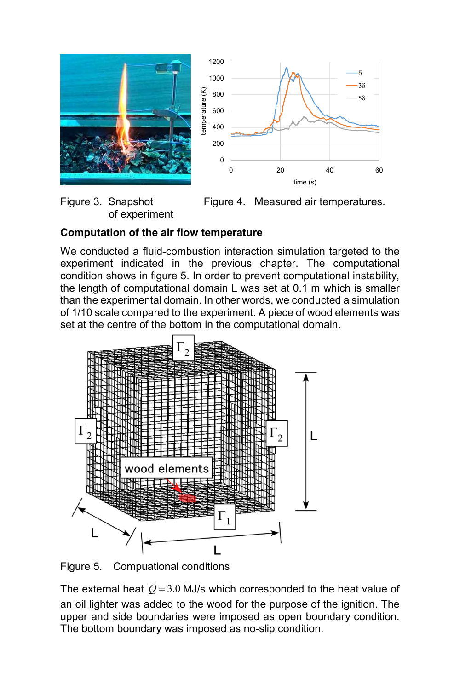



of experiment

Figure 3. Snapshot Figure 4. Measured air temperatures.

# **Computation of the air flow temperature**

We conducted a fluid-combustion interaction simulation targeted to the experiment indicated in the previous chapter. The computational condition shows in figure 5. In order to prevent computational instability, the length of computational domain L was set at 0.1 m which is smaller than the experimental domain. In other words, we conducted a simulation of 1/10 scale compared to the experiment. A piece of wood elements was set at the centre of the bottom in the computational domain.



Figure 5. Compuational conditions

The external heat  $\overline{Q}$  = 3.0 MJ/s which corresponded to the heat value of an oil lighter was added to the wood for the purpose of the ignition. The upper and side boundaries were imposed as open boundary condition. The bottom boundary was imposed as no-slip condition.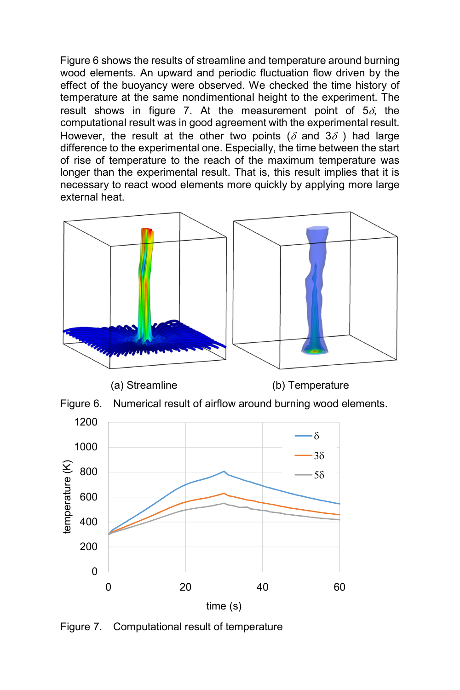Figure 6 shows the results of streamline and temperature around burning wood elements. An upward and periodic fluctuation flow driven by the effect of the buoyancy were observed. We checked the time history of temperature at the same nondimentional height to the experiment. The result shows in figure 7. At the measurement point of  $5\delta$ , the computational result was in good agreement with the experimental result. However, the result at the other two points ( $\delta$  and  $3\delta$ ) had large difference to the experimental one. Especially, the time between the start of rise of temperature to the reach of the maximum temperature was longer than the experimental result. That is, this result implies that it is necessary to react wood elements more quickly by applying more large external heat.



Figure 7. Computational result of temperature